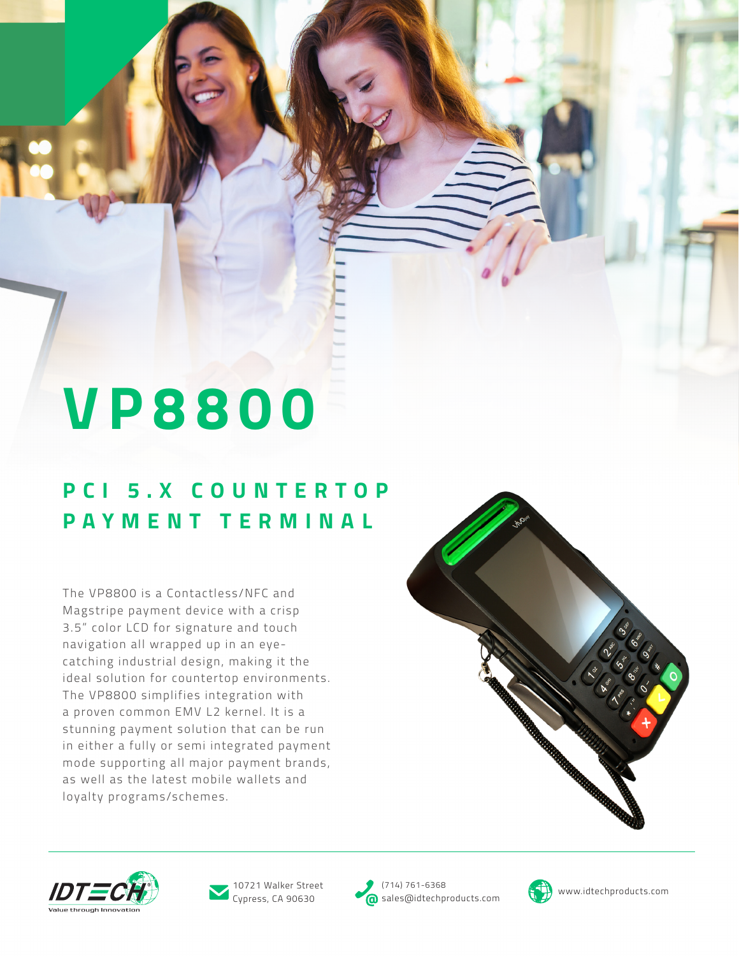# **VP8800**

#### **P C I 5 . X C O U N T E R T O P PAYMENT TERMINAL**

The VP8800 is a Contactless/NFC and Magstripe payment device with a crisp 3.5" color LCD for signature and touch navigation all wrapped up in an eyecatching industrial design, making it the ideal solution for countertop environments. The VP8800 simplifies integration with a proven common EMV L2 kernel. It is a stunning payment solution that can be run in either a fully or semi integrated payment mode supporting all major payment brands, as well as the latest mobile wallets and loyalty programs/schemes.







Cypress, CA 90630